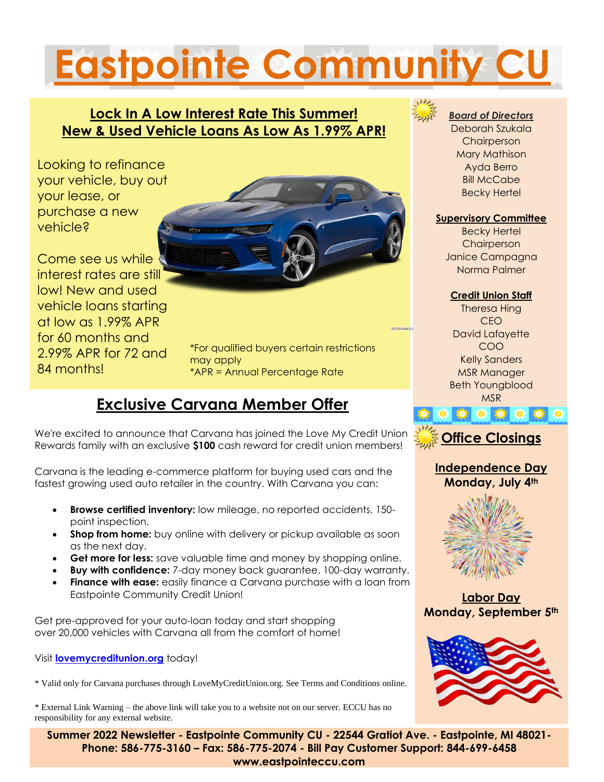## **Eastpointe Community CU**

#### **Lock In A Low Interest Rate This Summer! New & Used Vehicle Loans As Low As 1.99% APR!**

Looking to refinance your vehicle, buy out your lease, or purchase a new vehicle?

Come see us while interest rates are still low! New and used vehicle loans starting at low as 1.99% APR for 60 months and 2.99% APR for 72 and 84 months!



\*For qualified buyers certain restrictions may apply \*APR = Annual Percentage Rate

#### **Exclusive Carvana Member Offer**

We're excited to announce that Carvana has joined the Love My Credit Union Rewards family with an exclusive **\$100** cash reward for credit union members!

Carvana is the leading e-commerce platform for buying used cars and the fastest growing used auto retailer in the country. With Carvana you can:

- **Browse certified inventory:** low mileage, no reported accidents, 150 point inspection.
- **Shop from home:** buy online with delivery or pickup available as soon as the next day.
- **Get more for less:** save valuable time and money by shopping online.
- **Buy with confidence:** 7-day money back guarantee, 100-day warranty.
- **Finance with ease:** easily finance a Carvana purchase with a loan from Eastpointe Community Credit Union!

Get pre-approved for your auto-loan today and start shopping over 20,000 vehicles with Carvana all from the comfort of home!

Visit **[lovemycreditunion.org](https://links.lovemycreditunion.org/client/love_my_cu/banner/?bid=5760&campid=77&clientid=60124&sid=1)** today!

\* Valid only for Carvana purchases through LoveMyCreditUnion.org. See Terms and Conditions online.

\* External Link Warning – the above link will take you to a website not on our server. ECCU has no responsibility for any external website.



#### *Board of Directors*

j

Deborah Szukala **Chairperson** Mary Mathison Ayda Berro **Bill McCabe** Becky Hertel

#### **Supervisory Committee**

Becky Hertel **Chairperson** Janice Campagna Norma Palmer

#### **Credit Union Staff**

Theresa Hing CEO David Lafayette COO Kelly Sanders MSR Manager Beth Youngblood MSR



**OF 101 101 10** 

#### **Independence Day Monday, July 4th**



**Labor Day Monday, September 5th**